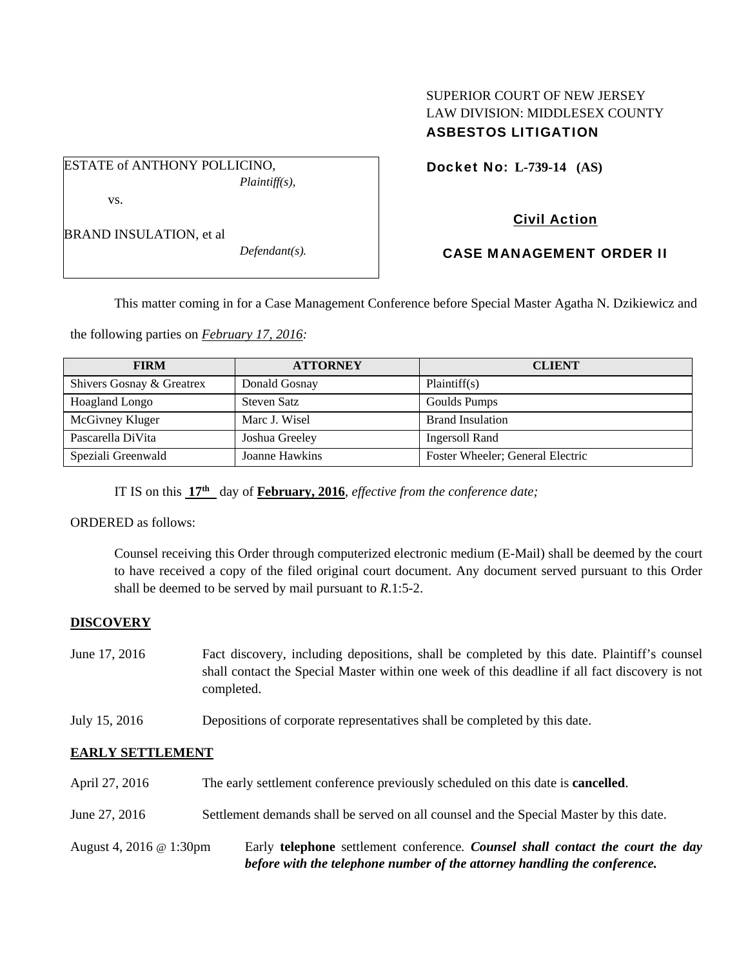# SUPERIOR COURT OF NEW JERSEY LAW DIVISION: MIDDLESEX COUNTY ASBESTOS LITIGATION

Docket No: **L-739-14 (AS)** 

vs.

ESTATE of ANTHONY POLLICINO,

*Defendant(s).* 

*Plaintiff(s),* 

## Civil Action

# CASE MANAGEMENT ORDER II

This matter coming in for a Case Management Conference before Special Master Agatha N. Dzikiewicz and

the following parties on *February 17, 2016:* 

| <b>FIRM</b>               | <b>ATTORNEY</b>    | <b>CLIENT</b>                    |
|---------------------------|--------------------|----------------------------------|
| Shivers Gosnay & Greatrex | Donald Gosnay      | Plaintiff(s)                     |
| <b>Hoagland Longo</b>     | <b>Steven Satz</b> | Goulds Pumps                     |
| McGivney Kluger           | Marc J. Wisel      | <b>Brand Insulation</b>          |
| Pascarella DiVita         | Joshua Greeley     | <b>Ingersoll Rand</b>            |
| Speziali Greenwald        | Joanne Hawkins     | Foster Wheeler; General Electric |

IT IS on this **17th** day of **February, 2016**, *effective from the conference date;*

ORDERED as follows:

Counsel receiving this Order through computerized electronic medium (E-Mail) shall be deemed by the court to have received a copy of the filed original court document. Any document served pursuant to this Order shall be deemed to be served by mail pursuant to *R*.1:5-2.

### **DISCOVERY**

- June 17, 2016 Fact discovery, including depositions, shall be completed by this date. Plaintiff's counsel shall contact the Special Master within one week of this deadline if all fact discovery is not completed.
- July 15, 2016 Depositions of corporate representatives shall be completed by this date.

### **EARLY SETTLEMENT**

April 27, 2016 The early settlement conference previously scheduled on this date is **cancelled**. June 27, 2016 Settlement demands shall be served on all counsel and the Special Master by this date. August 4, 2016 @ 1:30pm Early **telephone** settlement conference*. Counsel shall contact the court the day before with the telephone number of the attorney handling the conference.*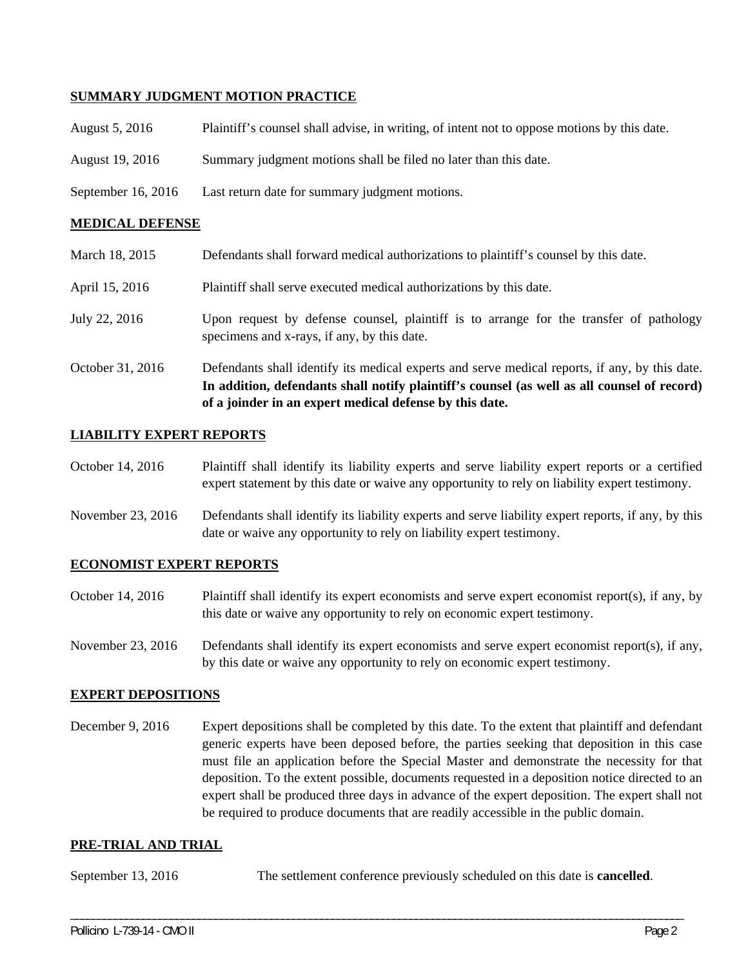### **SUMMARY JUDGMENT MOTION PRACTICE**

- August 5, 2016 Plaintiff's counsel shall advise, in writing, of intent not to oppose motions by this date.
- August 19, 2016 Summary judgment motions shall be filed no later than this date.
- September 16, 2016 Last return date for summary judgment motions.

#### **MEDICAL DEFENSE**

- March 18, 2015 Defendants shall forward medical authorizations to plaintiff's counsel by this date.
- April 15, 2016 Plaintiff shall serve executed medical authorizations by this date.
- July 22, 2016 Upon request by defense counsel, plaintiff is to arrange for the transfer of pathology specimens and x-rays, if any, by this date.
- October 31, 2016 Defendants shall identify its medical experts and serve medical reports, if any, by this date. **In addition, defendants shall notify plaintiff's counsel (as well as all counsel of record) of a joinder in an expert medical defense by this date.**

#### **LIABILITY EXPERT REPORTS**

- October 14, 2016 Plaintiff shall identify its liability experts and serve liability expert reports or a certified expert statement by this date or waive any opportunity to rely on liability expert testimony.
- November 23, 2016 Defendants shall identify its liability experts and serve liability expert reports, if any, by this date or waive any opportunity to rely on liability expert testimony.

#### **ECONOMIST EXPERT REPORTS**

- October 14, 2016 Plaintiff shall identify its expert economists and serve expert economist report(s), if any, by this date or waive any opportunity to rely on economic expert testimony.
- November 23, 2016 Defendants shall identify its expert economists and serve expert economist report(s), if any, by this date or waive any opportunity to rely on economic expert testimony.

#### **EXPERT DEPOSITIONS**

December 9, 2016 Expert depositions shall be completed by this date. To the extent that plaintiff and defendant generic experts have been deposed before, the parties seeking that deposition in this case must file an application before the Special Master and demonstrate the necessity for that deposition. To the extent possible, documents requested in a deposition notice directed to an expert shall be produced three days in advance of the expert deposition. The expert shall not be required to produce documents that are readily accessible in the public domain.

#### **PRE-TRIAL AND TRIAL**

September 13, 2016 The settlement conference previously scheduled on this date is **cancelled**.

\_\_\_\_\_\_\_\_\_\_\_\_\_\_\_\_\_\_\_\_\_\_\_\_\_\_\_\_\_\_\_\_\_\_\_\_\_\_\_\_\_\_\_\_\_\_\_\_\_\_\_\_\_\_\_\_\_\_\_\_\_\_\_\_\_\_\_\_\_\_\_\_\_\_\_\_\_\_\_\_\_\_\_\_\_\_\_\_\_\_\_\_\_\_\_\_\_\_\_\_\_\_\_\_\_\_\_\_\_\_